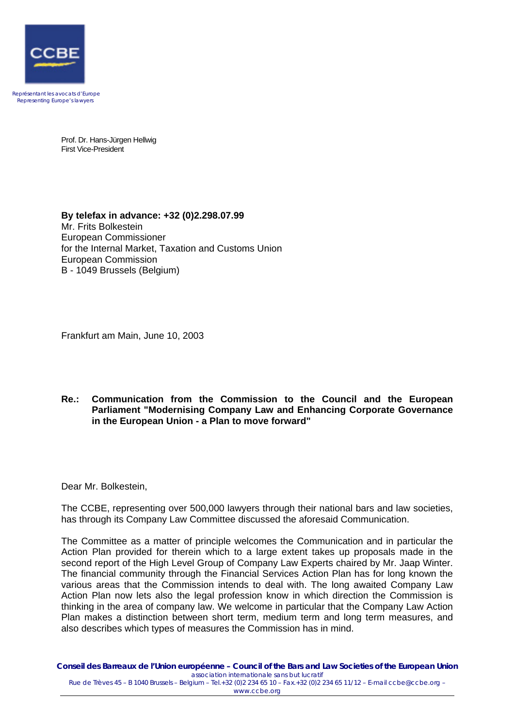

Représentant les avocats d'Europe Representing Europe's lawyers

> Prof. Dr. Hans-Jürgen Hellwig First Vice-President

**By telefax in advance: +32 (0)2.298.07.99**  Mr. Frits Bolkestein European Commissioner for the Internal Market, Taxation and Customs Union European Commission B - 1049 Brussels (Belgium)

Frankfurt am Main, June 10, 2003

## **Re.: Communication from the Commission to the Council and the European Parliament "Modernising Company Law and Enhancing Corporate Governance in the European Union - a Plan to move forward"**

Dear Mr. Bolkestein,

The CCBE, representing over 500,000 lawyers through their national bars and law societies, has through its Company Law Committee discussed the aforesaid Communication.

The Committee as a matter of principle welcomes the Communication and in particular the Action Plan provided for therein which to a large extent takes up proposals made in the second report of the High Level Group of Company Law Experts chaired by Mr. Jaap Winter. The financial community through the Financial Services Action Plan has for long known the various areas that the Commission intends to deal with. The long awaited Company Law Action Plan now lets also the legal profession know in which direction the Commission is thinking in the area of company law. We welcome in particular that the Company Law Action Plan makes a distinction between short term, medium term and long term measures, and also describes which types of measures the Commission has in mind.

**Conseil des Barreaux de l'Union européenne – Council of the Bars and Law Societies of the European Union**  *association internationale sans but lucratif* Rue de Trèves 45 – B 1040 Brussels – Belgium – Tel.+32 (0)2 234 65 10 – Fax.+32 (0)2 234 65 11/12 – E-mail ccbe@ccbe.org – www.ccbe.org